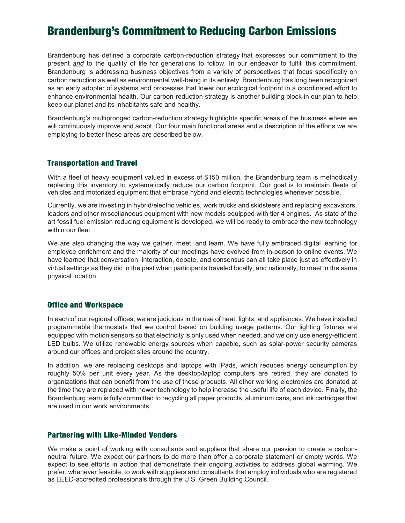# Brandenburg's Commitment to Reducing Carbon Emissions

Brandenburg has defined a corporate carbon-reduction strategy that expresses our commitment to the present *and* to the quality of life for generations to follow. In our endeavor to fulfill this commitment, Brandenburg is addressing business objectives from a variety of perspectives that focus specifically on carbon reduction as well as environmental well-being in its entirety. Brandenburg has long been recognized as an early adopter of systems and processes that lower our ecological footprint in a coordinated effort to enhance environmental health. Our carbon-reduction strategy is another building block in our plan to help keep our planet and its inhabitants safe and healthy.

Brandenburg's multipronged carbon-reduction strategy highlights specific areas of the business where we will continuously improve and adapt. Our four main functional areas and a description of the efforts we are employing to better these areas are described below.

### Transportation and Travel

With a fleet of heavy equipment valued in excess of \$150 million, the Brandenburg team is methodically replacing this inventory to systematically reduce our carbon footprint. Our goal is to maintain fleets of vehicles and motorized equipment that embrace hybrid and electric technologies whenever possible.

Currently, we are investing in hybrid/electric vehicles, work trucks and skidsteers and replacing excavators, loaders and other miscellaneous equipment with new models equipped with tier 4 engines. As state of the art fossil fuel emission reducing equipment is developed, we will be ready to embrace the new technology within our fleet.

We are also changing the way we gather, meet, and learn. We have fully embraced digital learning for employee enrichment and the majority of our meetings have evolved from in-person to online events. We have learned that conversation, interaction, debate, and consensus can all take place just as effectively in virtual settings as they did in the past when participants traveled locally, and nationally, to meet in the same physical location.

#### Office and Workspace

In each of our regional offices, we are judicious in the use of heat, lights, and appliances. We have installed programmable thermostats that we control based on building usage patterns. Our lighting fixtures are equipped with motion sensors so that electricity is only used when needed, and we only use energy-efficient LED bulbs. We utilize renewable energy sources when capable, such as solar-power security cameras around our offices and project sites around the country.

In addition, we are replacing desktops and laptops with iPads, which reduces energy consumption by roughly 50% per unit every year. As the desktop/laptop computers are retired, they are donated to organizations that can benefit from the use of these products. All other working electronics are donated at the time they are replaced with newer technology to help increase the useful life of each device. Finally, the Brandenburg team is fully committed to recycling all paper products, aluminum cans, and ink cartridges that are used in our work environments.

#### Partnering with Like-Minded Vendors

We make a point of working with consultants and suppliers that share our passion to create a carbonneutral future. We expect our partners to do more than offer a corporate statement or empty words. We expect to see efforts in action that demonstrate their ongoing activities to address global warming. We prefer, whenever feasible, to work with suppliers and consultants that employ individuals who are registered as LEED-accredited professionals through the U.S. Green Building Council.